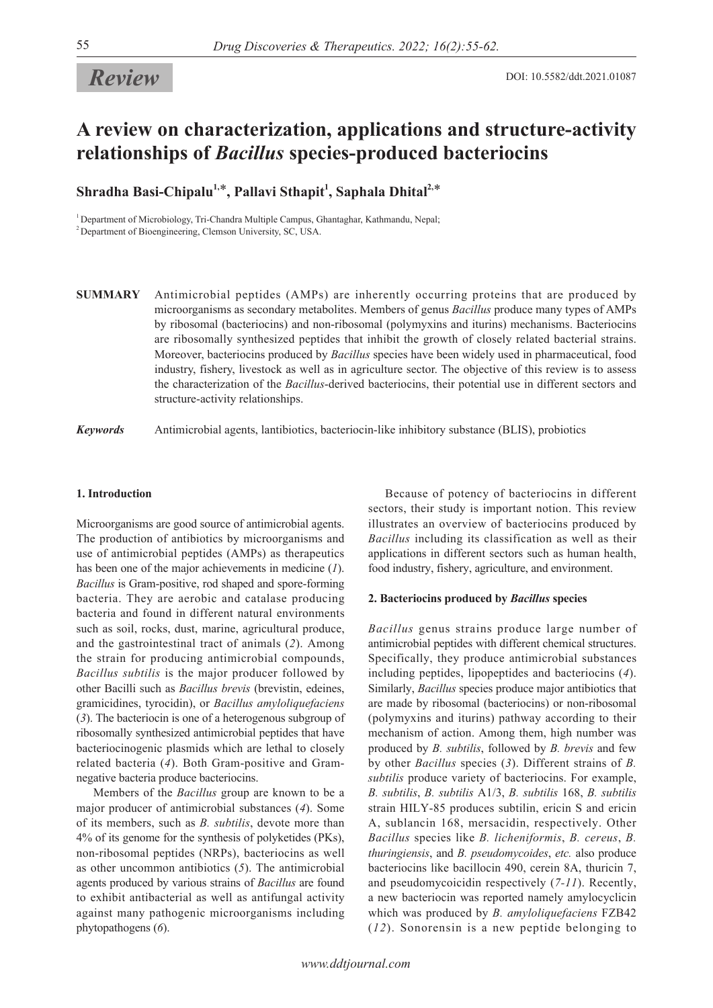# *Review*

# **A review on characterization, applications and structure-activity relationships of** *Bacillus* **species-produced bacteriocins**

 $\boldsymbol{\mathrm{Shradha\ Basi-Chipalu}}^{1,\ast},$  Pallavi Sthapit<sup>1</sup>, Saphala Dhital<sup>2,\*</sup>

<sup>1</sup> Department of Microbiology, Tri-Chandra Multiple Campus, Ghantaghar, Kathmandu, Nepal; <sup>2</sup> Department of Bioengineering, Clemson University, SC, USA.

**SUMMARY** Antimicrobial peptides (AMPs) are inherently occurring proteins that are produced by microorganisms as secondary metabolites. Members of genus *Bacillus* produce many types of AMPs by ribosomal (bacteriocins) and non-ribosomal (polymyxins and iturins) mechanisms. Bacteriocins are ribosomally synthesized peptides that inhibit the growth of closely related bacterial strains. Moreover, bacteriocins produced by *Bacillus* species have been widely used in pharmaceutical, food industry, fishery, livestock as well as in agriculture sector. The objective of this review is to assess the characterization of the *Bacillus*-derived bacteriocins, their potential use in different sectors and structure-activity relationships.

*Keywords* Antimicrobial agents, lantibiotics, bacteriocin-like inhibitory substance (BLIS), probiotics

## **1. Introduction**

Microorganisms are good source of antimicrobial agents. The production of antibiotics by microorganisms and use of antimicrobial peptides (AMPs) as therapeutics has been one of the major achievements in medicine (*1*). *Bacillus* is Gram-positive, rod shaped and spore-forming bacteria. They are aerobic and catalase producing bacteria and found in different natural environments such as soil, rocks, dust, marine, agricultural produce, and the gastrointestinal tract of animals (*2*). Among the strain for producing antimicrobial compounds, *Bacillus subtilis* is the major producer followed by other Bacilli such as *Bacillus brevis* (brevistin, edeines, gramicidines, tyrocidin), or *Bacillus amyloliquefaciens* (*3*). The bacteriocin is one of a heterogenous subgroup of ribosomally synthesized antimicrobial peptides that have bacteriocinogenic plasmids which are lethal to closely related bacteria (*4*). Both Gram-positive and Gramnegative bacteria produce bacteriocins.

Members of the *Bacillus* group are known to be a major producer of antimicrobial substances (*4*). Some of its members, such as *B. subtilis*, devote more than 4% of its genome for the synthesis of polyketides (PKs), non-ribosomal peptides (NRPs), bacteriocins as well as other uncommon antibiotics (*5*). The antimicrobial agents produced by various strains of *Bacillus* are found to exhibit antibacterial as well as antifungal activity against many pathogenic microorganisms including phytopathogens (*6*).

Because of potency of bacteriocins in different sectors, their study is important notion. This review illustrates an overview of bacteriocins produced by *Bacillus* including its classification as well as their applications in different sectors such as human health, food industry, fishery, agriculture, and environment.

#### **2. Bacteriocins produced by** *Bacillus* **species**

*Bacillus* genus strains produce large number of antimicrobial peptides with different chemical structures. Specifically, they produce antimicrobial substances including peptides, lipopeptides and bacteriocins (*4*). Similarly, *Bacillus* species produce major antibiotics that are made by ribosomal (bacteriocins) or non-ribosomal (polymyxins and iturins) pathway according to their mechanism of action. Among them, high number was produced by *B. subtilis*, followed by *B. brevis* and few by other *Bacillus* species (*3*). Different strains of *B. subtilis* produce variety of bacteriocins. For example, *B. subtilis*, *B. subtilis* A1/3, *B. subtilis* 168, *B. subtilis* strain HILY-85 produces subtilin, ericin S and ericin A, sublancin 168, mersacidin, respectively. Other *Bacillus* species like *B. licheniformis*, *B. cereus*, *B. thuringiensis*, and *B. pseudomycoides*, *etc.* also produce bacteriocins like bacillocin 490, cerein 8A, thuricin 7, and pseudomycoicidin respectively (*7-11*). Recently, a new bacteriocin was reported namely amylocyclicin which was produced by *B. amyloliquefaciens* FZB42 (*12*). Sonorensin is a new peptide belonging to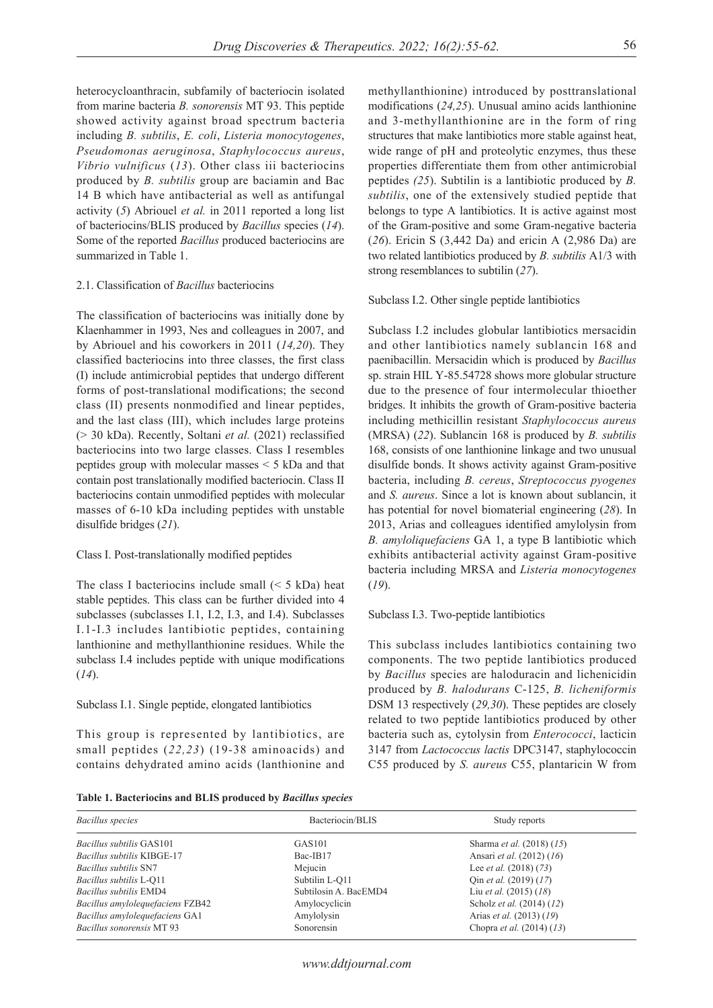heterocycloanthracin, subfamily of bacteriocin isolated from marine bacteria *B. sonorensis* MT 93. This peptide showed activity against broad spectrum bacteria including *B. subtilis*, *E. coli*, *Listeria monocytogenes*, *Pseudomonas aeruginosa*, *Staphylococcus aureus*, *Vibrio vulnificus* (*13*). Other class iii bacteriocins produced by *B. subtilis* group are baciamin and Bac 14 B which have antibacterial as well as antifungal activity (*5*) Abriouel *et al.* in 2011 reported a long list of bacteriocins/BLIS produced by *Bacillus* species (*14*). Some of the reported *Bacillus* produced bacteriocins are summarized in Table 1.

#### 2.1. Classification of *Bacillus* bacteriocins

The classification of bacteriocins was initially done by Klaenhammer in 1993, Nes and colleagues in 2007, and by Abriouel and his coworkers in 2011 (*14,20*). They classified bacteriocins into three classes, the first class (I) include antimicrobial peptides that undergo different forms of post-translational modifications; the second class (II) presents nonmodified and linear peptides, and the last class (III), which includes large proteins (> 30 kDa). Recently, Soltani *et al.* (2021) reclassified bacteriocins into two large classes. Class I resembles peptides group with molecular masses < 5 kDa and that contain post translationally modified bacteriocin. Class II bacteriocins contain unmodified peptides with molecular masses of 6-10 kDa including peptides with unstable disulfide bridges (*21*).

## Class I. Post-translationally modified peptides

The class I bacteriocins include small  $(< 5$  kDa) heat stable peptides. This class can be further divided into 4 subclasses (subclasses I.1, I.2, I.3, and I.4). Subclasses I.1-I.3 includes lantibiotic peptides, containing lanthionine and methyllanthionine residues. While the subclass I.4 includes peptide with unique modifications (*14*).

## Subclass I.1. Single peptide, elongated lantibiotics

This group is represented by lantibiotics, are small peptides (*22,23*) (19-38 aminoacids) and contains dehydrated amino acids (lanthionine and methyllanthionine) introduced by posttranslational modifications (*24,25*). Unusual amino acids lanthionine and 3-methyllanthionine are in the form of ring structures that make lantibiotics more stable against heat, wide range of pH and proteolytic enzymes, thus these properties differentiate them from other antimicrobial peptides *(25*). Subtilin is a lantibiotic produced by *B. subtilis*, one of the extensively studied peptide that belongs to type A lantibiotics. It is active against most of the Gram-positive and some Gram-negative bacteria (*26*). Ericin S (3,442 Da) and ericin A (2,986 Da) are two related lantibiotics produced by *B. subtilis* A1/3 with strong resemblances to subtilin (*27*).

#### Subclass I.2. Other single peptide lantibiotics

Subclass I.2 includes globular lantibiotics mersacidin and other lantibiotics namely sublancin 168 and paenibacillin. Mersacidin which is produced by *Bacillus*  sp. strain HIL Y-85.54728 shows more globular structure due to the presence of four intermolecular thioether bridges. It inhibits the growth of Gram-positive bacteria including methicillin resistant *Staphylococcus aureus*  (MRSA) (*22*). Sublancin 168 is produced by *B. subtilis* 168, consists of one lanthionine linkage and two unusual disulfide bonds. It shows activity against Gram-positive bacteria, including *B. cereus*, *Streptococcus pyogenes*  and *S. aureus*. Since a lot is known about sublancin, it has potential for novel biomaterial engineering (*28*). In 2013, Arias and colleagues identified amylolysin from *B. amyloliquefaciens* GA 1, a type B lantibiotic which exhibits antibacterial activity against Gram-positive bacteria including MRSA and *Listeria monocytogenes* (*19*).

#### Subclass I.3. Two-peptide lantibiotics

This subclass includes lantibiotics containing two components. The two peptide lantibiotics produced by *Bacillus* species are haloduracin and lichenicidin produced by *B. halodurans* C-125, *B. licheniformis*  DSM 13 respectively (*29,30*). These peptides are closely related to two peptide lantibiotics produced by other bacteria such as, cytolysin from *Enterococci*, lacticin 3147 from *Lactococcus lactis* DPC3147, staphylococcin C55 produced by *S. aureus* C55, plantaricin W from

| Table 1. Bacteriocins and BLIS produced by Bacillus species |  |
|-------------------------------------------------------------|--|
|-------------------------------------------------------------|--|

| Bacillus species                  | Bacteriocin/BLIS      | Study reports                      |
|-----------------------------------|-----------------------|------------------------------------|
| <i>Bacillus subtilis</i> GAS101   | GAS <sub>101</sub>    | Sharma et al. (2018) (15)          |
| <b>Bacillus subtilis KIBGE-17</b> | Bac-IB17              | Ansari <i>et al.</i> (2012) (16)   |
| <i>Bacillus subtilis SN7</i>      | Mejucin               | Lee <i>et al.</i> $(2018) (73)$    |
| Bacillus subtilis L-O11           | Subtilin L-O11        | Oin <i>et al.</i> $(2019) (17)$    |
| <i>Bacillus subtilis</i> EMD4     | Subtilosin A. BacEMD4 | Liu <i>et al.</i> $(2015)$ $(18)$  |
| Bacillus amylolequefaciens FZB42  | Amylocyclicin         | Scholz et al. (2014) (12)          |
| Bacillus amylolequefaciens GA1    | Amylolysin            | Arias et al. (2013) (19)           |
| Bacillus sonorensis MT 93         | Sonorensin            | Chopra <i>et al.</i> $(2014) (13)$ |

#### *www.ddtjournal.com*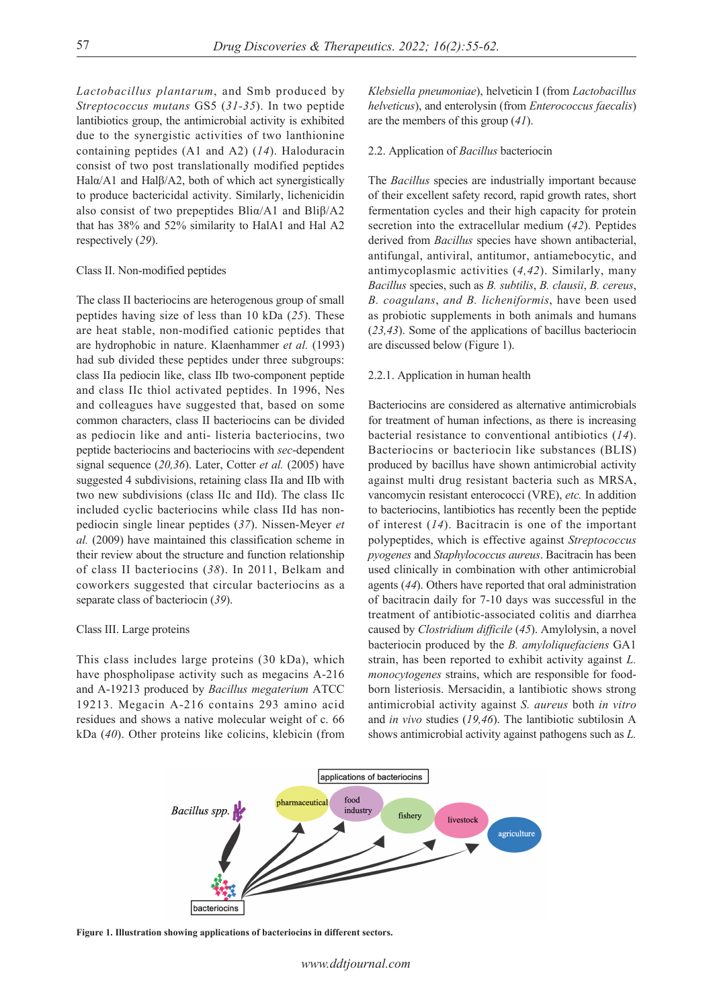*Lactobacillus plantarum*, and Smb produced by *Streptococcus mutans* GS5 (*31-35*). In two peptide lantibiotics group, the antimicrobial activity is exhibited due to the synergistic activities of two lanthionine containing peptides (A1 and A2) (*14*). Haloduracin consist of two post translationally modified peptides Halα/A1 and Halβ/A2, both of which act synergistically to produce bactericidal activity. Similarly, lichenicidin also consist of two prepeptides Bliα/A1 and Bliβ/A2 that has 38% and 52% similarity to HalA1 and Hal A2 respectively (*29*).

## Class II. Non-modified peptides

The class II bacteriocins are heterogenous group of small peptides having size of less than 10 kDa (*25*). These are heat stable, non-modified cationic peptides that are hydrophobic in nature. Klaenhammer *et al.* (1993) had sub divided these peptides under three subgroups: class IIa pediocin like, class IIb two-component peptide and class IIc thiol activated peptides. In 1996, Nes and colleagues have suggested that, based on some common characters, class II bacteriocins can be divided as pediocin like and anti- listeria bacteriocins, two peptide bacteriocins and bacteriocins with *sec*-dependent signal sequence (*20,36*). Later, Cotter *et al.* (2005) have suggested 4 subdivisions, retaining class IIa and IIb with two new subdivisions (class IIc and IId). The class IIc included cyclic bacteriocins while class IId has nonpediocin single linear peptides (*37*). Nissen-Meyer *et al.* (2009) have maintained this classification scheme in their review about the structure and function relationship of class II bacteriocins (*38*). In 2011, Belkam and coworkers suggested that circular bacteriocins as a separate class of bacteriocin (*39*).

#### Class III. Large proteins

This class includes large proteins (30 kDa), which have phospholipase activity such as megacins A-216 and A-19213 produced by *Bacillus megaterium* ATCC 19213. Megacin A-216 contains 293 amino acid residues and shows a native molecular weight of c. 66 kDa (*40*). Other proteins like colicins, klebicin (from

*Klebsiella pneumoniae*), helveticin I (from *Lactobacillus helveticus*), and enterolysin (from *Enterococcus faecalis*) are the members of this group (*41*).

### 2.2. Application of *Bacillus* bacteriocin

The *Bacillus* species are industrially important because of their excellent safety record, rapid growth rates, short fermentation cycles and their high capacity for protein secretion into the extracellular medium (*42*). Peptides derived from *Bacillus* species have shown antibacterial, antifungal, antiviral, antitumor, antiamebocytic, and antimycoplasmic activities (*4,42*). Similarly, many *Bacillus* species, such as *B. subtilis*, *B. clausii*, *B. cereus*, *B. coagulans*, *and B. licheniformis*, have been used as probiotic supplements in both animals and humans (*23,43*). Some of the applications of bacillus bacteriocin are discussed below (Figure 1).

#### 2.2.1. Application in human health

Bacteriocins are considered as alternative antimicrobials for treatment of human infections, as there is increasing bacterial resistance to conventional antibiotics (*14*). Bacteriocins or bacteriocin like substances (BLIS) produced by bacillus have shown antimicrobial activity against multi drug resistant bacteria such as MRSA, vancomycin resistant enterococci (VRE), *etc.* In addition to bacteriocins, lantibiotics has recently been the peptide of interest (*14*). Bacitracin is one of the important polypeptides, which is effective against *Streptococcus pyogenes* and *Staphylococcus aureus*. Bacitracin has been used clinically in combination with other antimicrobial agents (*44*). Others have reported that oral administration of bacitracin daily for 7-10 days was successful in the treatment of antibiotic-associated colitis and diarrhea caused by *Clostridium difficile* (*45*). Amylolysin, a novel bacteriocin produced by the *B. amyloliquefaciens* GA1 strain, has been reported to exhibit activity against *L. monocytogenes* strains, which are responsible for foodborn listeriosis. Mersacidin, a lantibiotic shows strong antimicrobial activity against *S. aureus* both *in vitro* and *in vivo* studies (*19,46*). The lantibiotic subtilosin A shows antimicrobial activity against pathogens such as *L.* 



**Figure 1. Illustration showing applications of bacteriocins in different sectors.**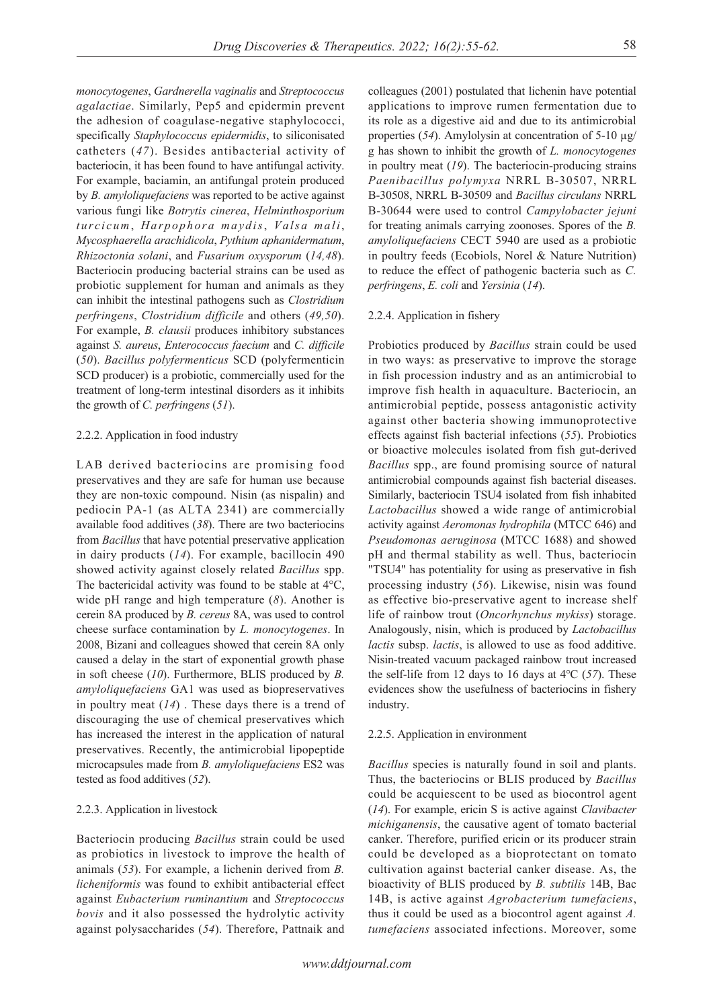*monocytogenes*, *Gardnerella vaginalis* and *Streptococcus agalactiae*. Similarly, Pep5 and epidermin prevent the adhesion of coagulase-negative staphylococci, specifically *Staphylococcus epidermidis*, to siliconisated catheters (*47*). Besides antibacterial activity of bacteriocin, it has been found to have antifungal activity. For example, baciamin, an antifungal protein produced by *B. amyloliquefaciens* was reported to be active against various fungi like *Botrytis cinerea*, *Helminthosporium turcicum*, *Harpophora maydis*, *Valsa mali*, *Mycosphaerella arachidicola*, *Pythium aphanidermatum*, *Rhizoctonia solani*, and *Fusarium oxysporum* (*14,48*). Bacteriocin producing bacterial strains can be used as probiotic supplement for human and animals as they can inhibit the intestinal pathogens such as *Clostridium perfringens*, *Clostridium difficile* and others (*49,50*). For example, *B. clausii* produces inhibitory substances against *S. aureus*, *Enterococcus faecium* and *C. difficile* (*50*). *Bacillus polyfermenticus* SCD (polyfermenticin SCD producer) is a probiotic, commercially used for the treatment of long-term intestinal disorders as it inhibits the growth of *C. perfringens* (*51*).

#### 2.2.2. Application in food industry

LAB derived bacteriocins are promising food preservatives and they are safe for human use because they are non-toxic compound. Nisin (as nispalin) and pediocin PA-1 (as ALTA 2341) are commercially available food additives (*38*). There are two bacteriocins from *Bacillus* that have potential preservative application in dairy products (*14*). For example, bacillocin 490 showed activity against closely related *Bacillus* spp. The bactericidal activity was found to be stable at 4°C, wide pH range and high temperature (*8*). Another is cerein 8A produced by *B. cereus* 8A, was used to control cheese surface contamination by *L. monocytogenes*. In 2008, Bizani and colleagues showed that cerein 8A only caused a delay in the start of exponential growth phase in soft cheese (*10*). Furthermore, BLIS produced by *B. amyloliquefaciens* GA1 was used as biopreservatives in poultry meat (*14*) . These days there is a trend of discouraging the use of chemical preservatives which has increased the interest in the application of natural preservatives. Recently, the antimicrobial lipopeptide microcapsules made from *B. amyloliquefaciens* ES2 was tested as food additives (*52*).

### 2.2.3. Application in livestock

Bacteriocin producing *Bacillus* strain could be used as probiotics in livestock to improve the health of animals (*53*). For example, a lichenin derived from *B. licheniformis* was found to exhibit antibacterial effect against *Eubacterium ruminantium* and *Streptococcus bovis* and it also possessed the hydrolytic activity against polysaccharides (*54*). Therefore, Pattnaik and

colleagues (2001) postulated that lichenin have potential applications to improve rumen fermentation due to its role as a digestive aid and due to its antimicrobial properties (*54*). Amylolysin at concentration of 5-10 µg/ g has shown to inhibit the growth of *L. monocytogenes* in poultry meat (*19*). The bacteriocin-producing strains *Paenibacillus polymyxa* NRRL B-30507, NRRL B-30508, NRRL B-30509 and *Bacillus circulans* NRRL B-30644 were used to control *Campylobacter jejuni* for treating animals carrying zoonoses. Spores of the *B. amyloliquefaciens* CECT 5940 are used as a probiotic in poultry feeds (Ecobiols, Norel & Nature Nutrition) to reduce the effect of pathogenic bacteria such as *C. perfringens*, *E. coli* and *Yersinia* (*14*).

#### 2.2.4. Application in fishery

Probiotics produced by *Bacillus* strain could be used in two ways: as preservative to improve the storage in fish procession industry and as an antimicrobial to improve fish health in aquaculture. Bacteriocin, an antimicrobial peptide, possess antagonistic activity against other bacteria showing immunoprotective effects against fish bacterial infections (*55*). Probiotics or bioactive molecules isolated from fish gut-derived *Bacillus* spp., are found promising source of natural antimicrobial compounds against fish bacterial diseases. Similarly, bacteriocin TSU4 isolated from fish inhabited *Lactobacillus* showed a wide range of antimicrobial activity against *Aeromonas hydrophila* (MTCC 646) and *Pseudomonas aeruginosa* (MTCC 1688) and showed pH and thermal stability as well. Thus, bacteriocin "TSU4" has potentiality for using as preservative in fish processing industry (*56*). Likewise, nisin was found as effective bio-preservative agent to increase shelf life of rainbow trout (*Oncorhynchus mykiss*) storage. Analogously, nisin, which is produced by *Lactobacillus lactis* subsp. *lactis*, is allowed to use as food additive. Nisin-treated vacuum packaged rainbow trout increased the self-life from 12 days to 16 days at 4℃ (*57*). These evidences show the usefulness of bacteriocins in fishery industry.

#### 2.2.5. Application in environment

*Bacillus* species is naturally found in soil and plants. Thus, the bacteriocins or BLIS produced by *Bacillus* could be acquiescent to be used as biocontrol agent (*14*). For example, ericin S is active against *Clavibacter michiganensis*, the causative agent of tomato bacterial canker. Therefore, purified ericin or its producer strain could be developed as a bioprotectant on tomato cultivation against bacterial canker disease. As, the bioactivity of BLIS produced by *B. subtilis* 14B, Bac 14B, is active against *Agrobacterium tumefaciens*, thus it could be used as a biocontrol agent against *A. tumefaciens* associated infections. Moreover, some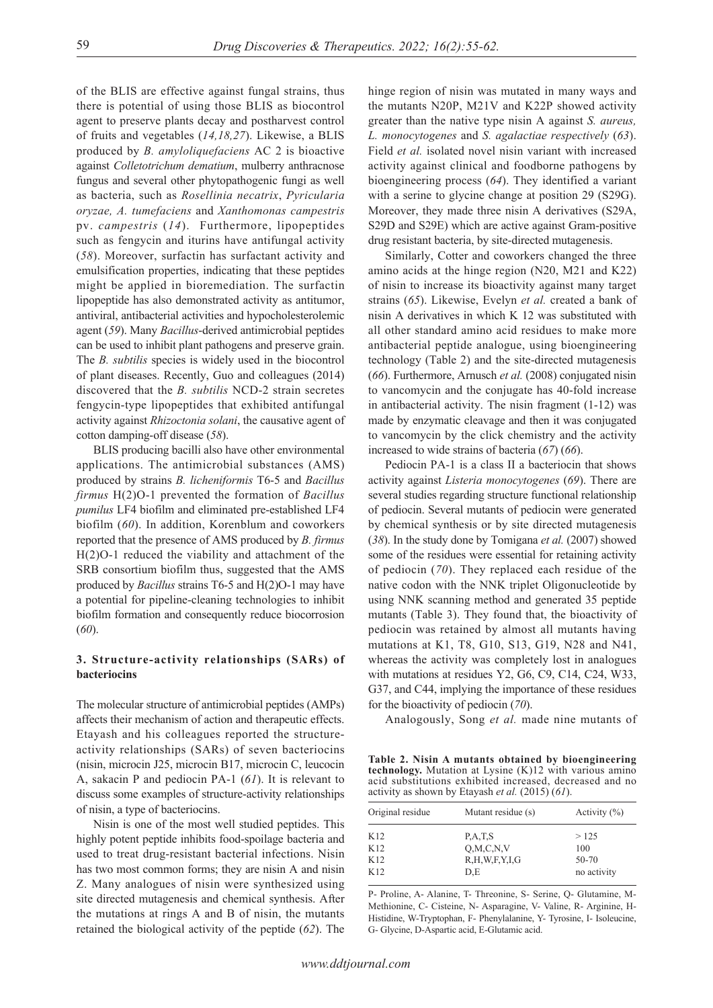of the BLIS are effective against fungal strains, thus there is potential of using those BLIS as biocontrol agent to preserve plants decay and postharvest control of fruits and vegetables (*14,18,27*). Likewise, a BLIS produced by *B. amyloliquefaciens* AC 2 is bioactive against *Colletotrichum dematium*, mulberry anthracnose fungus and several other phytopathogenic fungi as well as bacteria, such as *Rosellinia necatrix*, *Pyricularia oryzae, A. tumefaciens* and *Xanthomonas campestris*  pv. *campestris* (*14*). Furthermore, lipopeptides such as fengycin and iturins have antifungal activity (*58*). Moreover, surfactin has surfactant activity and emulsification properties, indicating that these peptides might be applied in bioremediation. The surfactin lipopeptide has also demonstrated activity as antitumor, antiviral, antibacterial activities and hypocholesterolemic agent (*59*). Many *Bacillus*-derived antimicrobial peptides can be used to inhibit plant pathogens and preserve grain. The *B. subtilis* species is widely used in the biocontrol of plant diseases. Recently, Guo and colleagues (2014) discovered that the *B. subtilis* NCD-2 strain secretes fengycin-type lipopeptides that exhibited antifungal activity against *Rhizoctonia solani*, the causative agent of cotton damping-off disease (*58*).

BLIS producing bacilli also have other environmental applications. The antimicrobial substances (AMS) produced by strains *B. licheniformis* T6-5 and *Bacillus firmus* H(2)O-1 prevented the formation of *Bacillus pumilus* LF4 biofilm and eliminated pre-established LF4 biofilm (*60*). In addition, Korenblum and coworkers reported that the presence of AMS produced by *B. firmus* H(2)O-1 reduced the viability and attachment of the SRB consortium biofilm thus, suggested that the AMS produced by *Bacillus* strains T6-5 and H(2)O-1 may have a potential for pipeline-cleaning technologies to inhibit biofilm formation and consequently reduce biocorrosion (*60*).

# **3. Structure-activity relationships (SARs) of bacteriocins**

The molecular structure of antimicrobial peptides (AMPs) affects their mechanism of action and therapeutic effects. Etayash and his colleagues reported the structureactivity relationships (SARs) of seven bacteriocins (nisin, microcin J25, microcin B17, microcin C, leucocin A, sakacin P and pediocin PA-1 (*61*). It is relevant to discuss some examples of structure-activity relationships of nisin, a type of bacteriocins.

Nisin is one of the most well studied peptides. This highly potent peptide inhibits food-spoilage bacteria and used to treat drug-resistant bacterial infections. Nisin has two most common forms; they are nisin A and nisin Z. Many analogues of nisin were synthesized using site directed mutagenesis and chemical synthesis. After the mutations at rings A and B of nisin, the mutants retained the biological activity of the peptide (*62*). The hinge region of nisin was mutated in many ways and the mutants N20P, M21V and K22P showed activity greater than the native type nisin A against *S. aureus, L. monocytogenes* and *S. agalactiae respectively* (*63*). Field *et al.* isolated novel nisin variant with increased activity against clinical and foodborne pathogens by bioengineering process (*64*). They identified a variant with a serine to glycine change at position 29 (S29G). Moreover, they made three nisin A derivatives (S29A, S29D and S29E) which are active against Gram-positive drug resistant bacteria, by site-directed mutagenesis.

Similarly, Cotter and coworkers changed the three amino acids at the hinge region (N20, M21 and K22) of nisin to increase its bioactivity against many target strains (*65*). Likewise, Evelyn *et al.* created a bank of nisin A derivatives in which K 12 was substituted with all other standard amino acid residues to make more antibacterial peptide analogue, using bioengineering technology (Table 2) and the site-directed mutagenesis (*66*). Furthermore, Arnusch *et al.* (2008) conjugated nisin to vancomycin and the conjugate has 40-fold increase in antibacterial activity. The nisin fragment (1-12) was made by enzymatic cleavage and then it was conjugated to vancomycin by the click chemistry and the activity increased to wide strains of bacteria (*67*) (*66*).

Pediocin PA-1 is a class II a bacteriocin that shows activity against *Listeria monocytogenes* (*69*). There are several studies regarding structure functional relationship of pediocin. Several mutants of pediocin were generated by chemical synthesis or by site directed mutagenesis (*38*). In the study done by Tomigana *et al.* (2007) showed some of the residues were essential for retaining activity of pediocin (*70*). They replaced each residue of the native codon with the NNK triplet Oligonucleotide by using NNK scanning method and generated 35 peptide mutants (Table 3). They found that, the bioactivity of pediocin was retained by almost all mutants having mutations at K1, T8, G10, S13, G19, N28 and N41, whereas the activity was completely lost in analogues with mutations at residues Y2, G6, C9, C14, C24, W33, G37, and C44, implying the importance of these residues for the bioactivity of pediocin (*70*).

Analogously, Song *et al.* made nine mutants of

**Table 2. Nisin A mutants obtained by bioengineering technology.** Mutation at Lysine (K)12 with various amino acid substitutions exhibited increased, decreased and no activity as shown by Etayash *et al.* (2015) (*61*).

| Original residue | Mutant residue (s) | Activity $(\%)$ |
|------------------|--------------------|-----------------|
| K12              | P, A, T, S         | >125            |
| K12              | O.M.C.N.V          | 100             |
| K12              | R,H,W,F,Y,I,G      | 50-70           |
| K12              | D.E                | no activity     |

P- Proline, A- Alanine, T- Threonine, S- Serine, Q- Glutamine, M-Methionine, C- Cisteine, N- Asparagine, V- Valine, R- Arginine, H-Histidine, W-Tryptophan, F- Phenylalanine, Y- Tyrosine, I- Isoleucine, G- Glycine, D-Aspartic acid, E-Glutamic acid.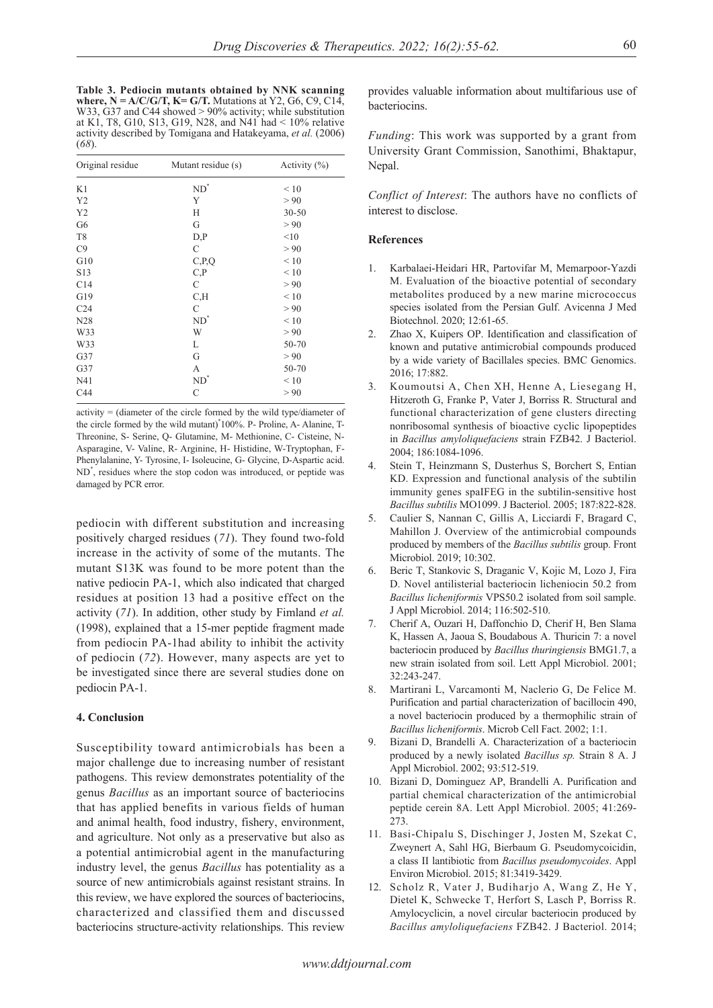**Table 3. Pediocin mutants obtained by NNK scanning where,**  $N = A/C/G/T$ **,**  $K = G/T$ **.** Mutations at Y2, G6, C9, C14, W33, G37 and C44 showed > 90% activity; while substitution at K1, T8, G10, S13, G19, N28, and N41 had < 10% relative activity described by Tomigana and Hatakeyama, *et al.* (2006) (*68*).

| Original residue | Mutant residue (s) | Activity $(\% )$ |
|------------------|--------------------|------------------|
| K1               | $ND^*$             | < 10             |
| Y <sub>2</sub>   | Y                  | > 90             |
| Y2               | Н                  | $30 - 50$        |
| G <sub>6</sub>   | G                  | > 90             |
| T <sub>8</sub>   | D, P               | <10              |
| C9               | $\mathsf{C}$       | > 90             |
| G10              | C, P, Q            | < 10             |
| S <sub>13</sub>  | C, P               | < 10             |
| C14              | C                  | > 90             |
| G19              | C, H               | $\leq 10$        |
| C <sub>24</sub>  | $\mathsf{C}$       | > 90             |
| N28              | $ND^*$             | < 10             |
| W33              | W                  | > 90             |
| W33              | L                  | 50-70            |
| G37              | G                  | > 90             |
| G37              | А                  | 50-70            |
| N41              | $ND^{\circ}$       | $\leq 10$        |
| C44              | $\mathsf{C}$       | > 90             |

activity = (diameter of the circle formed by the wild type/diameter of the circle formed by the wild mutant)\* 100%. P- Proline, A- Alanine, T-Threonine, S- Serine, Q- Glutamine, M- Methionine, C- Cisteine, N-Asparagine, V- Valine, R- Arginine, H- Histidine, W-Tryptophan, F-Phenylalanine, Y- Tyrosine, I- Isoleucine, G- Glycine, D-Aspartic acid. ND\* , residues where the stop codon was introduced, or peptide was damaged by PCR error.

pediocin with different substitution and increasing positively charged residues (*71*). They found two-fold increase in the activity of some of the mutants. The mutant S13K was found to be more potent than the native pediocin PA-1, which also indicated that charged residues at position 13 had a positive effect on the activity (*71*). In addition, other study by Fimland *et al.* (1998), explained that a 15-mer peptide fragment made from pediocin PA-1had ability to inhibit the activity of pediocin (*72*). However, many aspects are yet to be investigated since there are several studies done on pediocin PA-1.

### **4. Conclusion**

Susceptibility toward antimicrobials has been a major challenge due to increasing number of resistant pathogens. This review demonstrates potentiality of the genus *Bacillus* as an important source of bacteriocins that has applied benefits in various fields of human and animal health, food industry, fishery, environment, and agriculture. Not only as a preservative but also as a potential antimicrobial agent in the manufacturing industry level, the genus *Bacillus* has potentiality as a source of new antimicrobials against resistant strains. In this review, we have explored the sources of bacteriocins, characterized and classified them and discussed bacteriocins structure-activity relationships. This review

provides valuable information about multifarious use of bacteriocins.

*Funding*: This work was supported by a grant from University Grant Commission, Sanothimi, Bhaktapur, Nepal.

*Conflict of Interest*: The authors have no conflicts of interest to disclose.

#### **References**

- 1. Karbalaei-Heidari HR, Partovifar M, Memarpoor-Yazdi M. Evaluation of the bioactive potential of secondary metabolites produced by a new marine micrococcus species isolated from the Persian Gulf. Avicenna J Med Biotechnol. 2020; 12:61-65.
- 2. Zhao X, Kuipers OP. Identification and classification of known and putative antimicrobial compounds produced by a wide variety of Bacillales species. BMC Genomics. 2016; 17:882.
- 3. Koumoutsi A, Chen XH, Henne A, Liesegang H, Hitzeroth G, Franke P, Vater J, Borriss R. Structural and functional characterization of gene clusters directing nonribosomal synthesis of bioactive cyclic lipopeptides in *Bacillus amyloliquefaciens* strain FZB42. J Bacteriol. 2004; 186:1084-1096.
- 4. Stein T, Heinzmann S, Dusterhus S, Borchert S, Entian KD. Expression and functional analysis of the subtilin immunity genes spaIFEG in the subtilin-sensitive host *Bacillus subtilis* MO1099. J Bacteriol. 2005; 187:822-828.
- 5. Caulier S, Nannan C, Gillis A, Licciardi F, Bragard C, Mahillon J. Overview of the antimicrobial compounds produced by members of the *Bacillus subtilis* group. Front Microbiol. 2019; 10:302.
- 6. Beric T, Stankovic S, Draganic V, Kojic M, Lozo J, Fira D. Novel antilisterial bacteriocin licheniocin 50.2 from *Bacillus licheniformis* VPS50.2 isolated from soil sample. J Appl Microbiol. 2014; 116:502-510.
- 7. Cherif A, Ouzari H, Daffonchio D, Cherif H, Ben Slama K, Hassen A, Jaoua S, Boudabous A. Thuricin 7: a novel bacteriocin produced by *Bacillus thuringiensis* BMG1.7, a new strain isolated from soil. Lett Appl Microbiol. 2001; 32:243-247.
- 8. Martirani L, Varcamonti M, Naclerio G, De Felice M. Purification and partial characterization of bacillocin 490, a novel bacteriocin produced by a thermophilic strain of *Bacillus licheniformis*. Microb Cell Fact. 2002; 1:1.
- Bizani D, Brandelli A. Characterization of a bacteriocin produced by a newly isolated *Bacillus sp.* Strain 8 A. J Appl Microbiol. 2002; 93:512-519.
- 10. Bizani D, Dominguez AP, Brandelli A. Purification and partial chemical characterization of the antimicrobial peptide cerein 8A. Lett Appl Microbiol. 2005; 41:269- 273.
- 11. Basi-Chipalu S, Dischinger J, Josten M, Szekat C, Zweynert A, Sahl HG, Bierbaum G. Pseudomycoicidin, a class II lantibiotic from *Bacillus pseudomycoides*. Appl Environ Microbiol. 2015; 81:3419-3429.
- 12. Scholz R, Vater J, Budiharjo A, Wang Z, He Y, Dietel K, Schwecke T, Herfort S, Lasch P, Borriss R. Amylocyclicin, a novel circular bacteriocin produced by *Bacillus amyloliquefaciens* FZB42. J Bacteriol. 2014;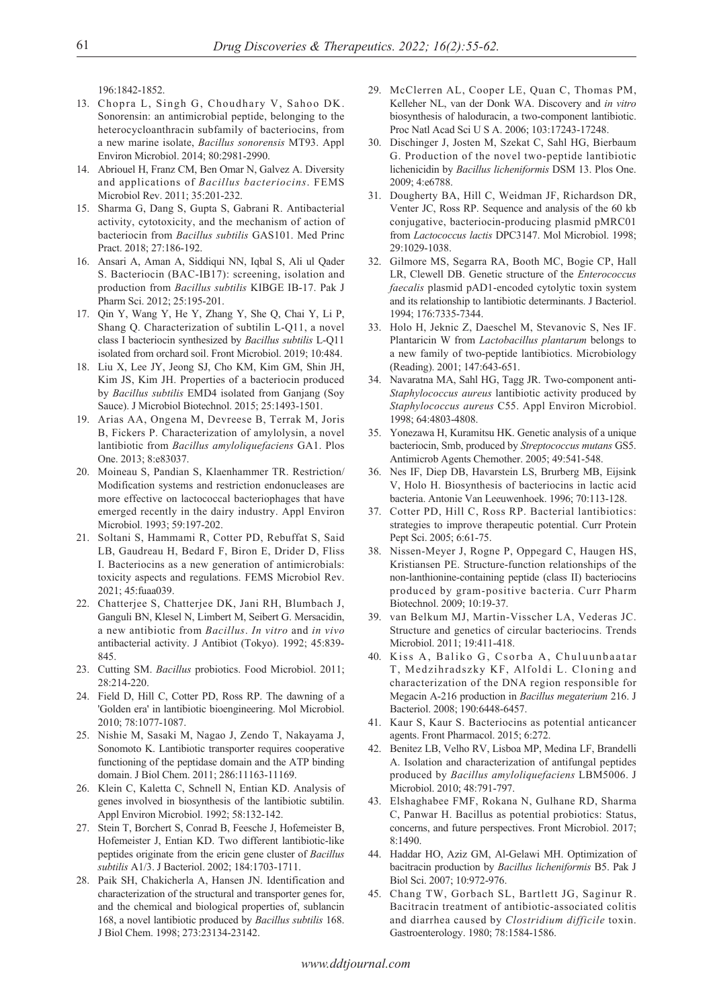196:1842-1852.

- 13. Chopra L, Singh G, Choudhary V, Sahoo DK. Sonorensin: an antimicrobial peptide, belonging to the heterocycloanthracin subfamily of bacteriocins, from a new marine isolate, *Bacillus sonorensis* MT93. Appl Environ Microbiol. 2014; 80:2981-2990.
- 14. Abriouel H, Franz CM, Ben Omar N, Galvez A. Diversity and applications of *Bacillus bacteriocins*. FEMS Microbiol Rev. 2011; 35:201-232.
- 15. Sharma G, Dang S, Gupta S, Gabrani R. Antibacterial activity, cytotoxicity, and the mechanism of action of bacteriocin from *Bacillus subtilis* GAS101. Med Princ Pract. 2018; 27:186-192.
- 16. Ansari A, Aman A, Siddiqui NN, Iqbal S, Ali ul Qader S. Bacteriocin (BAC-IB17): screening, isolation and production from *Bacillus subtilis* KIBGE IB-17. Pak J Pharm Sci. 2012; 25:195-201.
- 17. Qin Y, Wang Y, He Y, Zhang Y, She Q, Chai Y, Li P, Shang Q. Characterization of subtilin L-Q11, a novel class I bacteriocin synthesized by *Bacillus subtilis* L-Q11 isolated from orchard soil. Front Microbiol. 2019; 10:484.
- 18. Liu X, Lee JY, Jeong SJ, Cho KM, Kim GM, Shin JH, Kim JS, Kim JH. Properties of a bacteriocin produced by *Bacillus subtilis* EMD4 isolated from Ganjang (Soy Sauce). J Microbiol Biotechnol. 2015; 25:1493-1501.
- 19. Arias AA, Ongena M, Devreese B, Terrak M, Joris B, Fickers P. Characterization of amylolysin, a novel lantibiotic from *Bacillus amyloliquefaciens* GA1. Plos One. 2013; 8:e83037.
- 20. Moineau S, Pandian S, Klaenhammer TR. Restriction/ Modification systems and restriction endonucleases are more effective on lactococcal bacteriophages that have emerged recently in the dairy industry. Appl Environ Microbiol. 1993; 59:197-202.
- 21. Soltani S, Hammami R, Cotter PD, Rebuffat S, Said LB, Gaudreau H, Bedard F, Biron E, Drider D, Fliss I. Bacteriocins as a new generation of antimicrobials: toxicity aspects and regulations. FEMS Microbiol Rev. 2021; 45:fuaa039.
- 22. Chatterjee S, Chatterjee DK, Jani RH, Blumbach J, Ganguli BN, Klesel N, Limbert M, Seibert G. Mersacidin, a new antibiotic from *Bacillus*. *In vitro* and *in vivo* antibacterial activity. J Antibiot (Tokyo). 1992; 45:839- 845.
- 23. Cutting SM. *Bacillus* probiotics. Food Microbiol. 2011; 28:214-220.
- 24. Field D, Hill C, Cotter PD, Ross RP. The dawning of a 'Golden era' in lantibiotic bioengineering. Mol Microbiol. 2010; 78:1077-1087.
- 25. Nishie M, Sasaki M, Nagao J, Zendo T, Nakayama J, Sonomoto K. Lantibiotic transporter requires cooperative functioning of the peptidase domain and the ATP binding domain. J Biol Chem. 2011; 286:11163-11169.
- 26. Klein C, Kaletta C, Schnell N, Entian KD. Analysis of genes involved in biosynthesis of the lantibiotic subtilin. Appl Environ Microbiol. 1992; 58:132-142.
- 27. Stein T, Borchert S, Conrad B, Feesche J, Hofemeister B, Hofemeister J, Entian KD. Two different lantibiotic-like peptides originate from the ericin gene cluster of *Bacillus subtilis* A1/3. J Bacteriol. 2002; 184:1703-1711.
- 28. Paik SH, Chakicherla A, Hansen JN. Identification and characterization of the structural and transporter genes for, and the chemical and biological properties of, sublancin 168, a novel lantibiotic produced by *Bacillus subtilis* 168. J Biol Chem. 1998; 273:23134-23142.
- 29. McClerren AL, Cooper LE, Quan C, Thomas PM, Kelleher NL, van der Donk WA. Discovery and *in vitro* biosynthesis of haloduracin, a two-component lantibiotic. Proc Natl Acad Sci U S A. 2006; 103:17243-17248.
- 30. Dischinger J, Josten M, Szekat C, Sahl HG, Bierbaum G. Production of the novel two-peptide lantibiotic lichenicidin by *Bacillus licheniformis* DSM 13. Plos One. 2009; 4:e6788.
- 31. Dougherty BA, Hill C, Weidman JF, Richardson DR, Venter JC, Ross RP. Sequence and analysis of the 60 kb conjugative, bacteriocin-producing plasmid pMRC01 from *Lactococcus lactis* DPC3147. Mol Microbiol. 1998; 29:1029-1038.
- 32. Gilmore MS, Segarra RA, Booth MC, Bogie CP, Hall LR, Clewell DB. Genetic structure of the *Enterococcus faecalis* plasmid pAD1-encoded cytolytic toxin system and its relationship to lantibiotic determinants. J Bacteriol. 1994; 176:7335-7344.
- 33. Holo H, Jeknic Z, Daeschel M, Stevanovic S, Nes IF. Plantaricin W from *Lactobacillus plantarum* belongs to a new family of two-peptide lantibiotics. Microbiology (Reading). 2001; 147:643-651.
- 34. Navaratna MA, Sahl HG, Tagg JR. Two-component anti-*Staphylococcus aureus* lantibiotic activity produced by *Staphylococcus aureus* C55. Appl Environ Microbiol. 1998; 64:4803-4808.
- 35. Yonezawa H, Kuramitsu HK. Genetic analysis of a unique bacteriocin, Smb, produced by *Streptococcus mutans* GS5. Antimicrob Agents Chemother. 2005; 49:541-548.
- 36. Nes IF, Diep DB, Havarstein LS, Brurberg MB, Eijsink V, Holo H. Biosynthesis of bacteriocins in lactic acid bacteria. Antonie Van Leeuwenhoek. 1996; 70:113-128.
- 37. Cotter PD, Hill C, Ross RP. Bacterial lantibiotics: strategies to improve therapeutic potential. Curr Protein Pept Sci. 2005; 6:61-75.
- 38. Nissen-Meyer J, Rogne P, Oppegard C, Haugen HS, Kristiansen PE. Structure-function relationships of the non-lanthionine-containing peptide (class II) bacteriocins produced by gram-positive bacteria. Curr Pharm Biotechnol. 2009; 10:19-37.
- 39. van Belkum MJ, Martin-Visscher LA, Vederas JC. Structure and genetics of circular bacteriocins. Trends Microbiol. 2011; 19:411-418.
- 40. Kiss A, Baliko G, Csorba A, Chuluunbaatar T, Medzihradszky KF, Alfoldi L. Cloning and characterization of the DNA region responsible for Megacin A-216 production in *Bacillus megaterium* 216. J Bacteriol. 2008; 190:6448-6457.
- 41. Kaur S, Kaur S. Bacteriocins as potential anticancer agents. Front Pharmacol. 2015; 6:272.
- 42. Benitez LB, Velho RV, Lisboa MP, Medina LF, Brandelli A. Isolation and characterization of antifungal peptides produced by *Bacillus amyloliquefaciens* LBM5006. J Microbiol. 2010; 48:791-797.
- 43. Elshaghabee FMF, Rokana N, Gulhane RD, Sharma C, Panwar H. Bacillus as potential probiotics: Status, concerns, and future perspectives. Front Microbiol. 2017; 8:1490.
- 44. Haddar HO, Aziz GM, Al-Gelawi MH. Optimization of bacitracin production by *Bacillus licheniformis* B5. Pak J Biol Sci. 2007; 10:972-976.
- 45. Chang TW, Gorbach SL, Bartlett JG, Saginur R. Bacitracin treatment of antibiotic-associated colitis and diarrhea caused by *Clostridium difficile* toxin. Gastroenterology. 1980; 78:1584-1586.